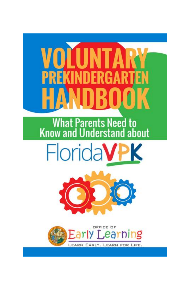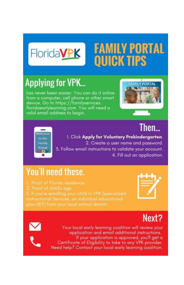

### **FAMILY PORTAL QUICK TIPS**

### **Applying for VPK...**

has never been easier. You can do it online from a computer, cell phone or other smart device. Go to https://familyservices. floridaearlylearning.com. You will need a valid email address to begin.



### Then...



1. Click Apply for Voluntary Prekindergarten. 2. Create a user name and password. 3. Follow email instructions to validate your account. 4. Fill out an application.

### **You'll need these.**

- 1. Proof of Florida residence.
- 

plan (IEP) from your local school district.



### Next?



Your local early learning coalition will review your application and email additional instructions. If your application is approved, you'll get a Certificate of Eligibility to take to any VPK provider. Need help? Contact your local early learning coalition.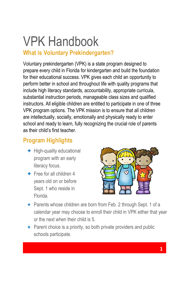### VPK Handbook

#### **What is Voluntary Prekindergarten?**

Voluntary prekindergarten (VPK) is a state program designed to prepare every child in Florida for kindergarten and build the foundation for their educational success. VPK gives each child an opportunity to perform better in school and throughout life with quality programs that include high literacy standards, accountability, appropriate curricula, substantial instruction periods, manageable class sizes and qualified instructors. All eligible children are entitled to participate in one of three VPK program options. The VPK mission is to ensure that all children are intellectually, socially, emotionally and physically ready to enter school and ready to learn, fully recognizing the crucial role of parents as their child's first teacher.

#### **Program Highlights**

- + High-quality educational program with an early literacy focus.
- + Free for all children 4 years old on or before Sept. 1 who reside in Florida.



- + Parents whose children are born from Feb. 2 through Sept. 1 of a calendar year may choose to enroll their child in VPK either that year or the next when their child is 5.
- + Parent choice is a priority, so both private providers and public schools participate.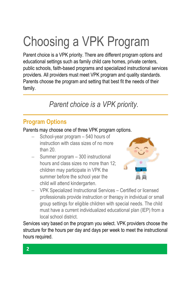## Choosing a VPK Program

Parent choice is a VPK priority. There are different program options and educational settings such as family child care homes, private centers, public schools, faith-based programs and specialized instructional services providers. All providers must meet VPK program and quality standards. Parents choose the program and setting that best fit the needs of their family.

### *Parent choice is a VPK priority.*

#### **Program Options**

Parents may choose one of three VPK program options.

- School-year program 540 hours of instruction with class sizes of no more than 20.
- Summer program 300 instructional hours and class sizes no more than 12; children may participate in VPK the summer before the school year the child will attend kindergarten.



 VPK Specialized Instructional Services – Certified or licensed professionals provide instruction or therapy in individual or small group settings for eligible children with special needs. The child must have a current individualized educational plan (IEP) from a local school district.

Services vary based on the program you select. VPK providers choose the structure for the hours per day and days per week to meet the instructional hours required.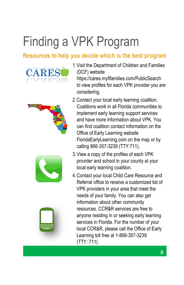## Finding a VPK Program

#### **Resources to help you decide which is the best program**









1.Visit the Department of Children and Families (DCF) website

https://cares.myflfamilies.com/PublicSearch to view profiles for each VPK provider you are considering.

- 2.Contact your local early learning coalition. Coalitions work in all Florida communities to implement early learning support services and have more information about VPK. You can find coalition contact information on the Office of Early Learning website FloridaEarlyLearning.com on the map or by calling 866-357-3239 (TTY:711).
- 3.View a copy of the profiles of each VPK provider and school in your county at your local early learning coalition.
- 4.Contact your local Child Care Resource and Referral office to receive a customized list of VPK providers in your area that meet the needs of your family. You can also get information about other community resources. CCR&R services are free to anyone residing in or seeking early learning services in Florida. For the number of your local CCR&R, please call the Office of Early Learning toll free at 1-866-357-3239 (TTY: 711).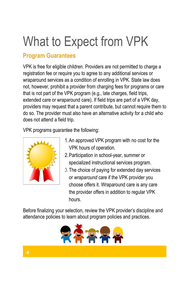### What to Expect from VPK

#### **Program Guarantees**

VPK is free for eligible children. Providers are not permitted to charge a registration fee or require you to agree to any additional services or wraparound services as a condition of enrolling in VPK. State law does not, however, prohibit a provider from charging fees for programs or care that is not part of the VPK program (e.g., late charges, field trips, extended care or wraparound care). If field trips are part of a VPK day, providers may request that a parent contribute, but cannot require them to do so. The provider must also have an alternative activity for a child who does not attend a field trip.

VPK programs guarantee the following:



- 1.An approved VPK program with no cost for the VPK hours of operation.
- 2.Participation in school-year, summer or specialized instructional services program.
- 3.The choice of paying for extended day services or *wraparound* care if the VPK provider you choose offers it. Wraparound care is any care the provider offers in addition to regular VPK hours.

Before finalizing your selection, review the VPK provider's discipline and attendance policies to learn about program policies and practices.

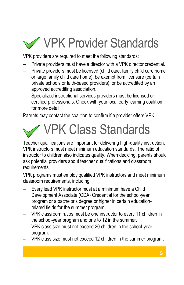## VPK Provider Standards

VPK providers are required to meet the following standards:

- Private providers must have a director with a VPK director credential.
- Private providers must be licensed (child care, family child care home or large family child care home); be exempt from licensure (certain private schools or faith-based providers); or be accredited by an approved accrediting association.
- Specialized instructional services providers must be licensed or certified professionals. Check with your local early learning coalition for more detail

Parents may contact the coalition to confirm if a provider offers VPK.

## VPK Class Standards

Teacher qualifications are important for delivering high-quality instruction. VPK instructors must meet minimum education standards. The ratio of instructor to children also indicates quality. When deciding, parents should ask potential providers about teacher qualifications and classroom requirements.

VPK programs must employ qualified VPK instructors and meet minimum classroom requirements, including

- Every lead VPK instructor must at a minimum have a Child Development Associate (CDA) Credential for the school-year program or a bachelor's degree or higher in certain educationrelated fields for the summer program.
- VPK classroom ratios must be one instructor to every 11 children in the school-year program and one to 12 in the summer.
- VPK class size must not exceed 20 children in the school-year program.
- VPK class size must not exceed 12 children in the summer program.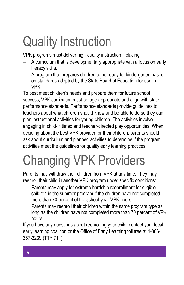## Quality Instruction

VPK programs must deliver high-quality instruction including

- A curriculum that is developmentally appropriate with a focus on early literacy skills.
- A program that prepares children to be ready for kindergarten based on standards adopted by the State Board of Education for use in VPK.

To best meet children's needs and prepare them for future school success, VPK curriculum must be age-appropriate and align with state performance standards. Performance standards provide guidelines to teachers about what children should know and be able to do so they can plan instructional activities for young children. The activities involve engaging in child-initiated and teacher-directed play opportunities. When deciding about the best VPK provider for their children, parents should ask about curriculum and planned activities to determine if the program activities meet the guidelines for quality early learning practices.

## Changing VPK Providers

Parents may withdraw their children from VPK at any time. They may reenroll their child in another VPK program under specific conditions:

- Parents may apply for extreme hardship reenrollment for eligible children in the summer program if the children have not completed more than 70 percent of the school-year VPK hours.
- Parents may reenroll their children within the same program type as long as the children have not completed more than 70 percent of VPK hours.

If you have any questions about reenrolling your child, contact your local early learning coalition or the Office of Early Learning toll free at 1-866- 357-3239 (TTY:711).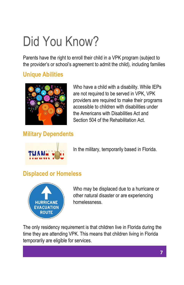## Did You Know?

Parents have the right to enroll their child in a VPK program (subject to the provider's or school's agreement to admit the child), including families

#### **Unique Abilities**



Who have a child with a disability. While IEPs are not required to be served in VPK, VPK providers are required to make their programs accessible to children with disabilities under the Americans with Disabilities Act and Section 504 of the Rehabilitation Act.

#### **Military Dependents**



In the military, temporarily based in Florida.

#### **Displaced or Homeless**



Who may be displaced due to a hurricane or other natural disaster or are experiencing homelessness.

The only residency requirement is that children live in Florida during the time they are attending VPK. This means that children living in Florida temporarily are eligible for services.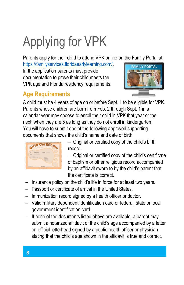## Applying for VPK

Parents apply for their child to attend VPK online on the Family Portal at

https://familyservices.floridaearlylearning.com/. In the application parents must provide documentation to prove their child meets the VPK age and Florida residency requirements.



#### **Age Requirements**

A child must be 4 years of age on or before Sept. 1 to be eligible for VPK. Parents whose children are born from Feb. 2 through Sept. 1 in a calendar year may choose to enroll their child in VPK that year or the next, when they are 5 as long as they do not enroll in kindergarten. You will have to submit one of the following approved supporting documents that shows the child's name and date of birth:



 $-$  Original or certified copy of the child's birth record.

- Original or certified copy of the child's certificate of baptism or other religious record accompanied by an affidavit sworn to by the child's parent that the certificate is correct.

- $-$  Insurance policy on the child's life in force for at least two years.
- $-$  Passport or certificate of arrival in the United States.
- $-$  Immunization record signed by a health officer or doctor.
- Valid military dependent identification card or federal, state or local government identification card.
- $-$  If none of the documents listed above are available, a parent may submit a notarized affidavit of the child's age accompanied by a letter on official letterhead signed by a public health officer or physician stating that the child's age shown in the affidavit is true and correct.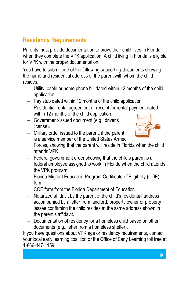#### **Residency Requirements**

Parents must provide documentation to prove their child lives in Florida when they complete the VPK application. A child living in Florida is eligible for VPK with the proper documentation.

You have to submit one of the following supporting documents showing the name and residential address of the parent with whom the child resides:

- Utility, cable or home phone bill dated within 12 months of the child application.
- $-$  Pay stub dated within 12 months of the child application.
- Residential rental agreement or receipt for rental payment dated within 12 months of the child application.
- Government-issued document (e.g., driver's license).



 $-$  Military order issued to the parent, if the parent is a service member of the United States Armed

Forces, showing that the parent will reside in Florida when the child attends VPK.

- $-$  Federal government order showing that the child's parent is a federal employee assigned to work in Florida when the child attends the VPK program.
- Florida Migrant Education Program Certificate of Eligibility (COE) form.
- COE form from the Florida Department of Education.
- Notarized affidavit by the parent of the child's residential address accompanied by a letter from landlord, property owner or property lessee confirming the child resides at the same address shown in the parent's affidavit.
- Documentation of residency for a homeless child based on other documents (e.g., letter from a homeless shelter).

If you have questions about VPK age or residency requirements, contact your local early learning coalition or the Office of Early Learning toll free at 1-866-447-1159.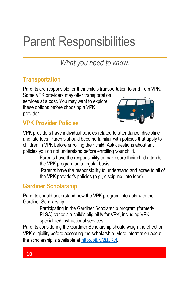## Parent Responsibilities

*What you need to know.*

#### **Transportation**

Parents are responsible for their child's transportation to and from VPK.

Some VPK providers may offer transportation services at a cost. You may want to explore these options before choosing a VPK provider.



#### **VPK Provider Policies**

VPK providers have individual policies related to attendance, discipline and late fees. Parents should become familiar with policies that apply to children in VPK before enrolling their child. Ask questions about any policies you do not understand before enrolling your child.

- Parents have the responsibility to make sure their child attends the VPK program on a regular basis.
- Parents have the responsibility to understand and agree to all of the VPK provider's policies (e.g., discipline, late fees).

#### **Gardiner Scholarship**

Parents should understand how the VPK program interacts with the Gardiner Scholarship.

 Participating in the Gardiner Scholarship program (formerly PLSA) cancels a child's eligibility for VPK, including VPK specialized instructional services.

Parents considering the Gardiner Scholarship should weigh the effect on VPK eligibility before accepting the scholarship. More information about the scholarship is available at http://bit.ly/2jJJRyf.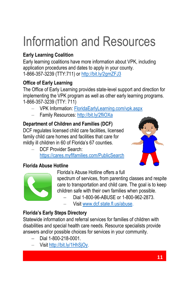## Information and Resources

#### **Early Learning Coalition**

Early learning coalitions have more information about VPK, including application procedures and dates to apply in your county. 1-866-357-3239 (TTY:711) or http://bit.ly/2gmZFJ3

#### **Office of Early Learning**

The Office of Early Learning provides state-level support and direction for implementing the VPK program as well as other early learning programs. 1-866-357-3239 (TTY: 711)

- VPK Information: FloridaEarlyLearning.com/vpk.aspx
- Family Resources: http://bit.ly/2fliOXa

#### **Department of Children and Families (DCF)**

DCF regulates licensed child care facilities, licensed family child care homes and facilities that care for mildly ill children in 60 of Florida's 67 counties.

 DCF Provider Search: https://cares.myflfamilies.com/PublicSearch



#### **Florida Abuse Hotline**



Florida's Abuse Hotline offers a full

spectrum of services, from parenting classes and respite care to transportation and child care. The goal is to keep children safe with their own families when possible.

- Dial 1-800-96-ABUSE or 1-800-962-2873.
- Visit www.dcf.state.fl.us/abuse.

#### **Florida's Early Steps Directory**

Statewide information and referral services for families of children with disabilities and special health care needs. Resource specialists provide answers and/or possible choices for services in your community.

- Dial 1-800-218-0001.
- Visit http://bit.ly/1HhSjOy.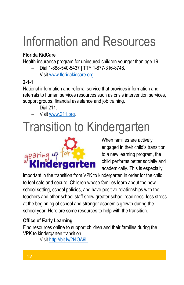## Information and Resources

#### **Florida KidCare**

Health insurance program for uninsured children younger than age 19.

- Dial 1-888-540-5437 | TTY 1-877-316-8748.
- Visit www.floridakidcare.org.

#### **2-1-1**

National information and referral service that provides information and referrals to human services resources such as crisis intervention services, support groups, financial assistance and job training.

- Dial 211.
- Visit www.211.org.

## Transition to Kindergarten



When families are actively engaged in their child's transition to a new learning program, the child performs better socially and academically. This is especially

important in the transition from VPK to kindergarten in order for the child to feel safe and secure. Children whose families learn about the new school setting, school policies, and have positive relationships with the teachers and other school staff show greater school readiness, less stress at the beginning of school and stronger academic growth during the school year. Here are some resources to help with the transition.

#### **Office of Early Learning**

Find resources online to support children and their families during the VPK to kindergarten transition.

Visit http://bit.ly/2f4OA9L.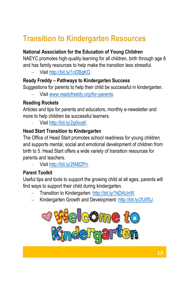### **Transition to Kindergarten Resources**

#### **National Association for the Education of Young Children**

NAEYC promotes high-quality learning for all children, birth through age 8 and has family resources to help make the transition less stressful.

Visit http://bit.ly/1nDBgKO.

#### **Ready Freddy – Pathways to Kindergarten Success**

Suggestions for parents to help their child be successful in kindergarten.

Visit www.readyfreddy.org/for-parents.

#### **Reading Rockets**

Articles and tips for parents and educators, monthly e-newsletter and more to help children be successful learners.

Visit http://bit.ly/2g0icqK.

#### **Head Start Transition to Kindergarten**

The Office of Head Start promotes school readiness for young children and supports mental, social and emotional development of children from birth to 5. Head Start offers a wide variety of transition resources for parents and teachers.

Visit http://bit.ly/2fABZPn.

#### **Parent Toolkit**

Useful tips and tools to support the growing child at all ages, parents will find ways to support their child during kindergarten.

- Transition to Kindergarten: http://bit.ly/1kDAUnW.
- Kindergarten Growth and Development: http://bit.ly/2fJIfSJ.